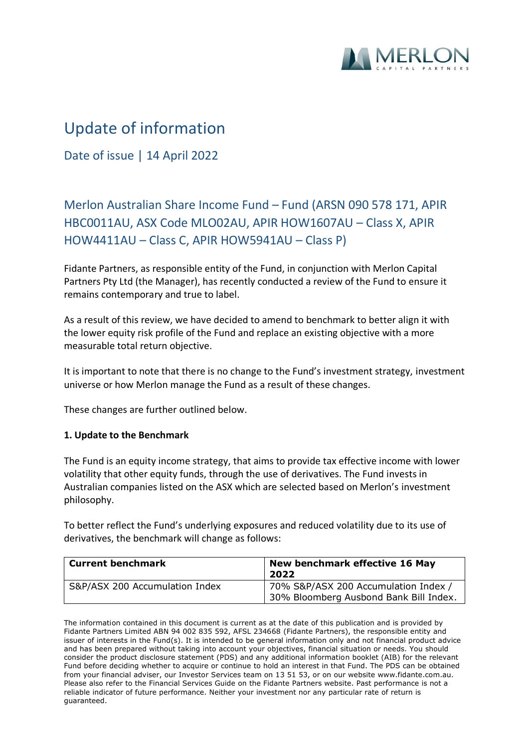

# Update of information

Date of issue | 14 April 2022

## Merlon Australian Share Income Fund – Fund (ARSN 090 578 171, APIR HBC0011AU, ASX Code MLO02AU, APIR HOW1607AU – Class X, APIR HOW4411AU – Class C, APIR HOW5941AU – Class P)

Fidante Partners, as responsible entity of the Fund, in conjunction with Merlon Capital Partners Pty Ltd (the Manager), has recently conducted a review of the Fund to ensure it remains contemporary and true to label.

As a result of this review, we have decided to amend to benchmark to better align it with the lower equity risk profile of the Fund and replace an existing objective with a more measurable total return objective.

It is important to note that there is no change to the Fund's investment strategy, investment universe or how Merlon manage the Fund as a result of these changes.

These changes are further outlined below.

### **1. Update to the Benchmark**

The Fund is an equity income strategy, that aims to provide tax effective income with lower volatility that other equity funds, through the use of derivatives. The Fund invests in Australian companies listed on the ASX which are selected based on Merlon's investment philosophy.

To better reflect the Fund's underlying exposures and reduced volatility due to its use of derivatives, the benchmark will change as follows:

| <b>Current benchmark</b>       | New benchmark effective 16 May<br>2022                                         |
|--------------------------------|--------------------------------------------------------------------------------|
| S&P/ASX 200 Accumulation Index | 70% S&P/ASX 200 Accumulation Index /<br>30% Bloomberg Ausbond Bank Bill Index. |

The information contained in this document is current as at the date of this publication and is provided by Fidante Partners Limited ABN 94 002 835 592, AFSL 234668 (Fidante Partners), the responsible entity and issuer of interests in the Fund(s). It is intended to be general information only and not financial product advice and has been prepared without taking into account your objectives, financial situation or needs. You should consider the product disclosure statement (PDS) and any additional information booklet (AIB) for the relevant Fund before deciding whether to acquire or continue to hold an interest in that Fund. The PDS can be obtained from your financial adviser, our Investor Services team on 13 51 53, or on our website www.fidante.com.au. Please also refer to the Financial Services Guide on the Fidante Partners website. Past performance is not a reliable indicator of future performance. Neither your investment nor any particular rate of return is guaranteed.